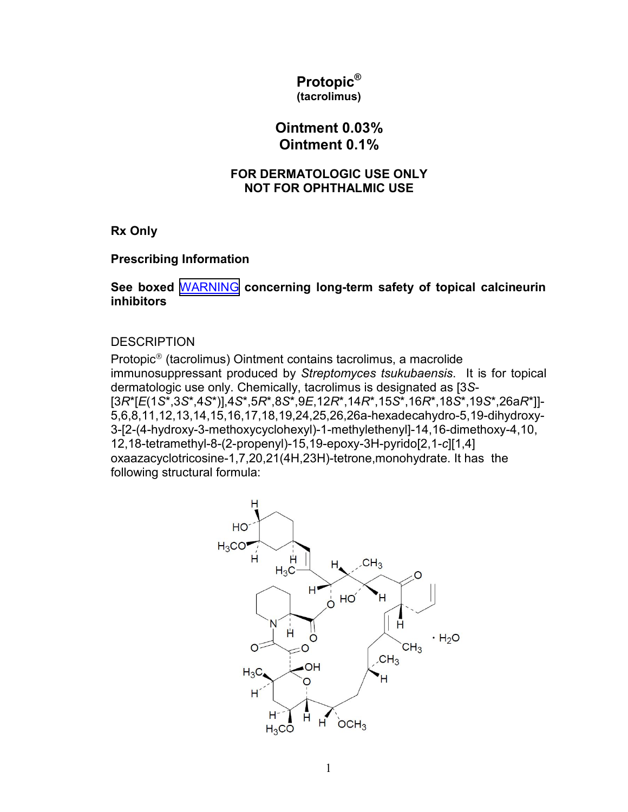#### **Protopic® (tacrolimus)**

# **Ointment 0.03% Ointment 0.1%**

#### **FOR DERMATOLOGIC USE ONLY NOT FOR OPHTHALMIC USE**

**Rx Only**

## **Prescribing Information**

**See boxed** [WARNING](#page-8-0) **concerning long-term safety of topical calcineurin inhibitors**

#### **DESCRIPTION**

Protopic® (tacrolimus) Ointment contains tacrolimus, a macrolide immunosuppressant produced by *Streptomyces tsukubaensis*. It is for topical dermatologic use only. Chemically, tacrolimus is designated as [3*S*- [3*R*\*[*E*(1*S*\*,3*S*\*,4*S*\*)],4*S*\*,5*R*\*,8*S*\*,9*E*,12*R*\*,14*R*\*,15*S*\*,16*R*\*,18*S*\*,19*S*\*,26a*R*\*]]- 5,6,8,11,12,13,14,15,16,17,18,19,24,25,26,26a-hexadecahydro-5,19-dihydroxy-3-[2-(4-hydroxy-3-methoxycyclohexyl)-1-methylethenyl]-14,16-dimethoxy-4,10, 12,18-tetramethyl-8-(2-propenyl)-15,19-epoxy-3H-pyrido[2,1-*c*][1,4] oxaazacyclotricosine-1,7,20,21(4H,23H)-tetrone,monohydrate. It has the following structural formula:

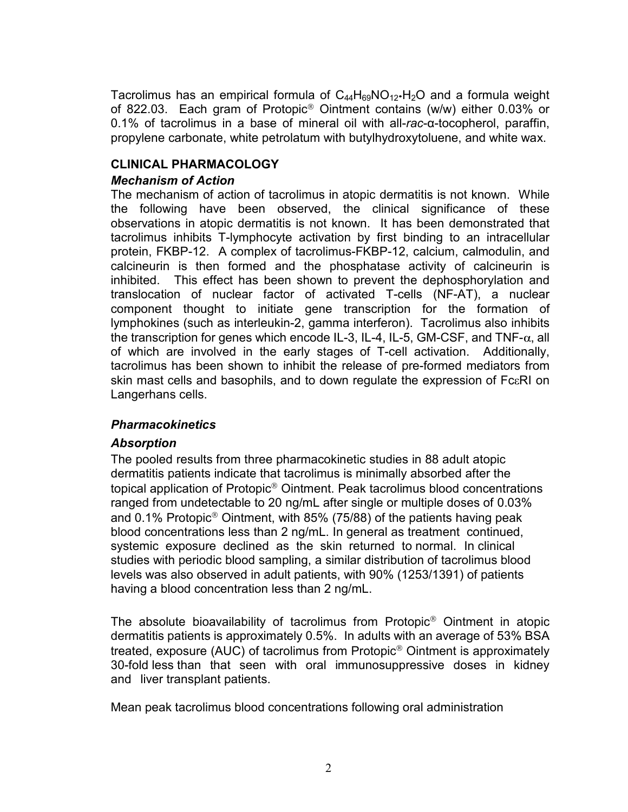<span id="page-1-0"></span>Tacrolimus has an empirical formula of  $C_{44}H_{69}NO_{12}·H_{2}O$  and a formula weight of 822.03. Each gram of Protopic® Ointment contains (w/w) either 0.03% or 0.1% of tacrolimus in a base of mineral oil with all-*rac*-α-tocopherol, paraffin, propylene carbonate, white petrolatum with butylhydroxytoluene, and white wax.

## **CLINICAL PHARMACOLOGY**

#### *Mechanism of Action*

The mechanism of action of tacrolimus in atopic dermatitis is not known. While the following have been observed, the clinical significance of these observations in atopic dermatitis is not known. It has been demonstrated that tacrolimus inhibits T-lymphocyte activation by first binding to an intracellular protein, FKBP-12. A complex of tacrolimus-FKBP-12, calcium, calmodulin, and calcineurin is then formed and the phosphatase activity of calcineurin is inhibited. This effect has been shown to prevent the dephosphorylation and translocation of nuclear factor of activated T-cells (NF-AT), a nuclear component thought to initiate gene transcription for the formation of lymphokines (such as interleukin-2, gamma interferon). Tacrolimus also inhibits the transcription for genes which encode IL-3, IL-4, IL-5, GM-CSF, and TNF- $\alpha$ , all of which are involved in the early stages of T-cell activation. Additionally, tacrolimus has been shown to inhibit the release of pre-formed mediators from skin mast cells and basophils, and to down regulate the expression of FcεRI on Langerhans cells.

#### *Pharmacokinetics*

#### *Absorption*

The pooled results from three pharmacokinetic studies in 88 adult atopic dermatitis patients indicate that tacrolimus is minimally absorbed after the topical application of Protopic® Ointment. Peak tacrolimus blood concentrations ranged from undetectable to 20 ng/mL after single or multiple doses of 0.03% and 0.1% Protopic<sup>®</sup> Ointment, with 85% (75/88) of the patients having peak blood concentrations less than 2 ng/mL. In general as treatment continued, systemic exposure declined as the skin returned to normal. In clinical studies with periodic blood sampling, a similar distribution of tacrolimus blood levels was also observed in adult patients, with 90% (1253/1391) of patients having a blood concentration less than 2 ng/mL.

The absolute bioavailability of tacrolimus from Protopic® Ointment in atopic dermatitis patients is approximately 0.5%. In adults with an average of 53% BSA treated, exposure (AUC) of tacrolimus from Protopic® Ointment is approximately 30-fold less than that seen with oral immunosuppressive doses in kidney and liver transplant patients.

Mean peak tacrolimus blood concentrations following oral administration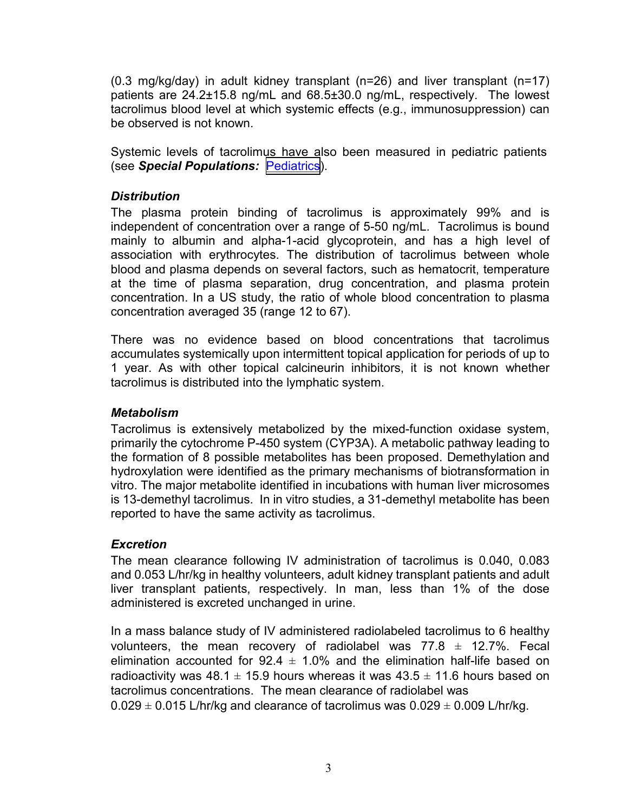(0.3 mg/kg/day) in adult kidney transplant (n=26) and liver transplant (n=17) patients are 24.2±15.8 ng/mL and 68.5±30.0 ng/mL, respectively. The lowest tacrolimus blood level at which systemic effects (e.g., immunosuppression) can be observed is not known.

Systemic levels of tacrolimus have also been measured in pediatric patients (see *Special Populations:* [Pediatrics](#page-3-0)).

## *Distribution*

The plasma protein binding of tacrolimus is approximately 99% and is independent of concentration over a range of 5-50 ng/mL. Tacrolimus is bound mainly to albumin and alpha-1-acid glycoprotein, and has a high level of association with erythrocytes. The distribution of tacrolimus between whole blood and plasma depends on several factors, such as hematocrit, temperature at the time of plasma separation, drug concentration, and plasma protein concentration. In a US study, the ratio of whole blood concentration to plasma concentration averaged 35 (range 12 to 67).

There was no evidence based on blood concentrations that tacrolimus accumulates systemically upon intermittent topical application for periods of up to 1 year. As with other topical calcineurin inhibitors, it is not known whether tacrolimus is distributed into the lymphatic system.

#### *Metabolism*

Tacrolimus is extensively metabolized by the mixed-function oxidase system, primarily the cytochrome P-450 system (CYP3A). A metabolic pathway leading to the formation of 8 possible metabolites has been proposed. Demethylation and hydroxylation were identified as the primary mechanisms of biotransformation in vitro. The major metabolite identified in incubations with human liver microsomes is 13-demethyl tacrolimus. In in vitro studies, a 31-demethyl metabolite has been reported to have the same activity as tacrolimus.

## *Excretion*

The mean clearance following IV administration of tacrolimus is 0.040, 0.083 and 0.053 L/hr/kg in healthy volunteers, adult kidney transplant patients and adult liver transplant patients, respectively. In man, less than 1% of the dose administered is excreted unchanged in urine.

In a mass balance study of IV administered radiolabeled tacrolimus to 6 healthy volunteers, the mean recovery of radiolabel was  $77.8 \pm 12.7\%$ . Fecal elimination accounted for  $92.4 \pm 1.0\%$  and the elimination half-life based on radioactivity was 48.1  $\pm$  15.9 hours whereas it was 43.5  $\pm$  11.6 hours based on tacrolimus concentrations. The mean clearance of radiolabel was

 $0.029 \pm 0.015$  L/hr/kg and clearance of tacrolimus was  $0.029 \pm 0.009$  L/hr/kg.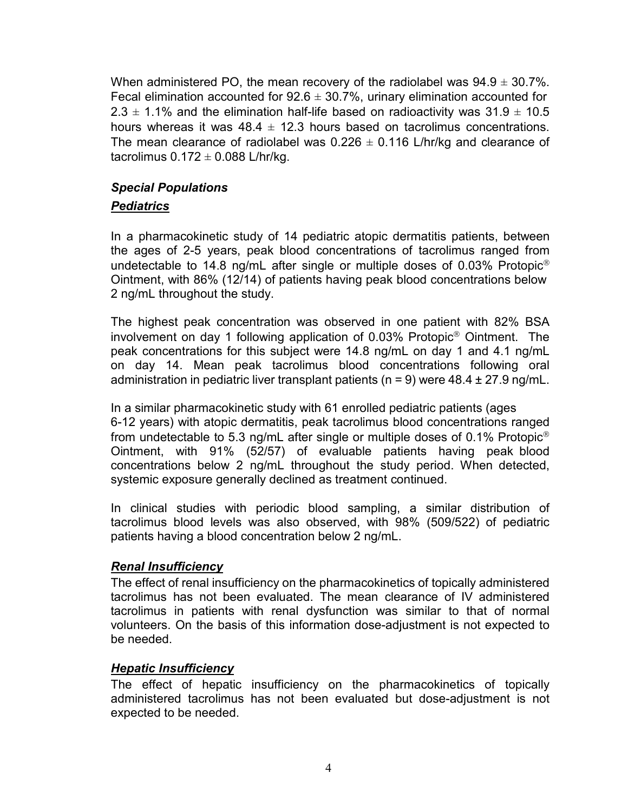<span id="page-3-0"></span>When administered PO, the mean recovery of the radiolabel was  $94.9 \pm 30.7\%$ . Fecal elimination accounted for  $92.6 \pm 30.7\%$ , urinary elimination accounted for 2.3  $\pm$  1.1% and the elimination half-life based on radioactivity was 31.9  $\pm$  10.5 hours whereas it was  $48.4 \pm 12.3$  hours based on tacrolimus concentrations. The mean clearance of radiolabel was  $0.226 \pm 0.116$  L/hr/kg and clearance of tacrolimus  $0.172 \pm 0.088$  L/hr/kg.

# *Special Populations*

# *Pediatrics*

In a pharmacokinetic study of 14 pediatric atopic dermatitis patients, between the ages of 2-5 years, peak blood concentrations of tacrolimus ranged from undetectable to 14.8 ng/mL after single or multiple doses of 0.03% Protopic® Ointment, with 86% (12/14) of patients having peak blood concentrations below 2 ng/mL throughout the study.

The highest peak concentration was observed in one patient with 82% BSA involvement on day 1 following application of 0.03% Protopic® Ointment. The peak concentrations for this subject were 14.8 ng/mL on day 1 and 4.1 ng/mL on day 14. Mean peak tacrolimus blood concentrations following oral administration in pediatric liver transplant patients ( $n = 9$ ) were 48.4  $\pm$  27.9 ng/mL.

In a similar pharmacokinetic study with 61 enrolled pediatric patients (ages 6-12 years) with atopic dermatitis, peak tacrolimus blood concentrations ranged from undetectable to 5.3 ng/mL after single or multiple doses of 0.1% Protopic<sup>®</sup> Ointment, with 91% (52/57) of evaluable patients having peak blood concentrations below 2 ng/mL throughout the study period. When detected, systemic exposure generally declined as treatment continued.

In clinical studies with periodic blood sampling, a similar distribution of tacrolimus blood levels was also observed, with 98% (509/522) of pediatric patients having a blood concentration below 2 ng/mL.

## *Renal Insufficiency*

The effect of renal insufficiency on the pharmacokinetics of topically administered tacrolimus has not been evaluated. The mean clearance of IV administered tacrolimus in patients with renal dysfunction was similar to that of normal volunteers. On the basis of this information dose-adjustment is not expected to be needed.

## *Hepatic Insufficiency*

The effect of hepatic insufficiency on the pharmacokinetics of topically administered tacrolimus has not been evaluated but dose-adjustment is not expected to be needed.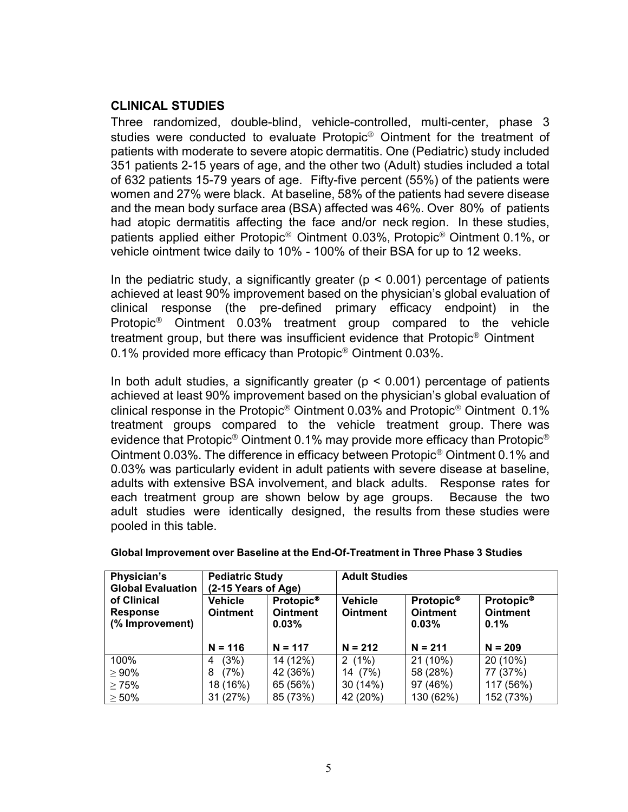#### **CLINICAL STUDIES**

Three randomized, double-blind, vehicle-controlled, multi-center, phase 3 studies were conducted to evaluate Protopic® Ointment for the treatment of patients with moderate to severe atopic dermatitis. One (Pediatric) study included 351 patients 2-15 years of age, and the other two (Adult) studies included a total of 632 patients 15-79 years of age. Fifty-five percent (55%) of the patients were women and 27% were black. At baseline, 58% of the patients had severe disease and the mean body surface area (BSA) affected was 46%. Over 80% of patients had atopic dermatitis affecting the face and/or neck region. In these studies, patients applied either Protopic® Ointment 0.03%, Protopic® Ointment 0.1%, or vehicle ointment twice daily to 10% - 100% of their BSA for up to 12 weeks.

In the pediatric study, a significantly greater ( $p < 0.001$ ) percentage of patients achieved at least 90% improvement based on the physician's global evaluation of clinical response (the pre-defined primary efficacy endpoint) in the Protopic® Ointment 0.03% treatment group compared to the vehicle treatment group, but there was insufficient evidence that Protopic® Ointment 0.1% provided more efficacy than Protopic® Ointment 0.03%.

In both adult studies, a significantly greater ( $p < 0.001$ ) percentage of patients achieved at least 90% improvement based on the physician's global evaluation of clinical response in the Protopic® Ointment 0.03% and Protopic® Ointment 0.1% treatment groups compared to the vehicle treatment group. There was evidence that Protopic<sup>®</sup> Ointment 0.1% may provide more efficacy than Protopic<sup>®</sup> Ointment 0.03%. The difference in efficacy between Protopic® Ointment 0.1% and 0.03% was particularly evident in adult patients with severe disease at baseline, adults with extensive BSA involvement, and black adults. Response rates for each treatment group are shown below by age groups. Because the two adult studies were identically designed, the results from these studies were pooled in this table.

| Physician's              | <b>Pediatric Study</b> |                       | <b>Adult Studies</b> |                       |                       |  |  |
|--------------------------|------------------------|-----------------------|----------------------|-----------------------|-----------------------|--|--|
| <b>Global Evaluation</b> | (2-15 Years of Age)    |                       |                      |                       |                       |  |  |
| of Clinical              | <b>Vehicle</b>         | Protopic <sup>®</sup> | <b>Vehicle</b>       | Protopic <sup>®</sup> | Protopic <sup>®</sup> |  |  |
| <b>Response</b>          | <b>Ointment</b>        | <b>Ointment</b>       | <b>Ointment</b>      | <b>Ointment</b>       | <b>Ointment</b>       |  |  |
| (% Improvement)          |                        | 0.03%                 |                      | 0.03%                 | 0.1%                  |  |  |
|                          |                        |                       |                      |                       |                       |  |  |
|                          | $N = 116$              | $N = 117$             | $N = 212$            | $N = 211$             | $N = 209$             |  |  |
| 100%                     | (3%)<br>4              | 14 (12%)              | $2(1\%)$             | 21 (10%)              | 20 (10%)              |  |  |
| $\geq 90\%$              | (7%)<br>8              | 42 (36%)              | 14 (7%)              | 58 (28%)              | 77 (37%)              |  |  |
| $\geq 75\%$              | 18 (16%)               | 65 (56%)              | 30 (14%)             | 97 (46%)              | 117 (56%)             |  |  |
| $\geq 50\%$              | 31 (27%)               | 85 (73%)              | 42 (20%)             | 130 (62%)             | 152 (73%)             |  |  |

#### **Global Improvement over Baseline at the End-Of-Treatment in Three Phase 3 Studies**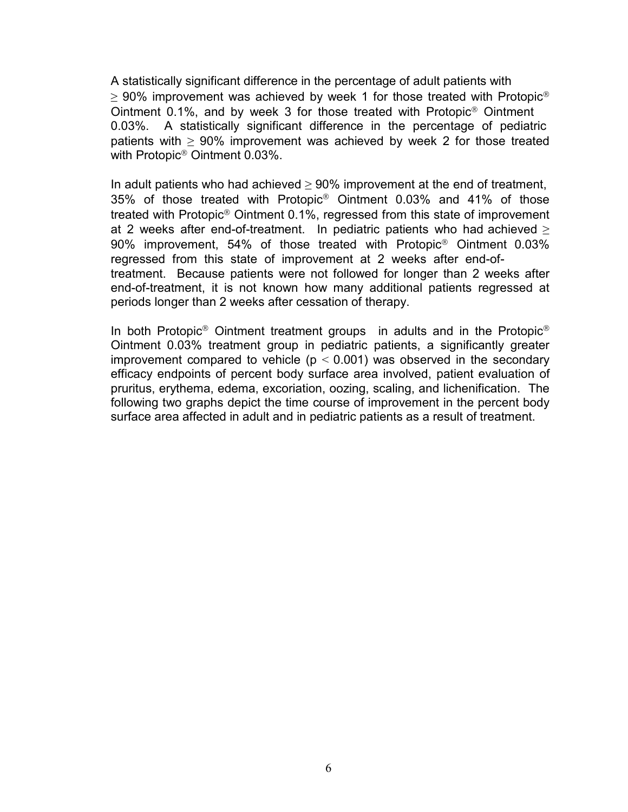A statistically significant difference in the percentage of adult patients with  $>$  90% improvement was achieved by week 1 for those treated with Protopic<sup>®</sup> Ointment 0.1%, and by week 3 for those treated with Protopic® Ointment 0.03%. A statistically significant difference in the percentage of pediatric patients with  $\geq 90\%$  improvement was achieved by week 2 for those treated with Protopic® Ointment 0.03%.

In adult patients who had achieved  $\geq 90\%$  improvement at the end of treatment, 35% of those treated with Protopic® Ointment 0.03% and 41% of those treated with Protopic® Ointment 0.1%, regressed from this state of improvement at 2 weeks after end-of-treatment. In pediatric patients who had achieved  $\geq$ 90% improvement, 54% of those treated with Protopic® Ointment 0.03% regressed from this state of improvement at 2 weeks after end-oftreatment. Because patients were not followed for longer than 2 weeks after end-of-treatment, it is not known how many additional patients regressed at periods longer than 2 weeks after cessation of therapy.

In both Protopic<sup>®</sup> Ointment treatment groups in adults and in the Protopic<sup>®</sup> Ointment 0.03% treatment group in pediatric patients, a significantly greater improvement compared to vehicle ( $p < 0.001$ ) was observed in the secondary efficacy endpoints of percent body surface area involved, patient evaluation of pruritus, erythema, edema, excoriation, oozing, scaling, and lichenification. The following two graphs depict the time course of improvement in the percent body surface area affected in adult and in pediatric patients as a result of treatment.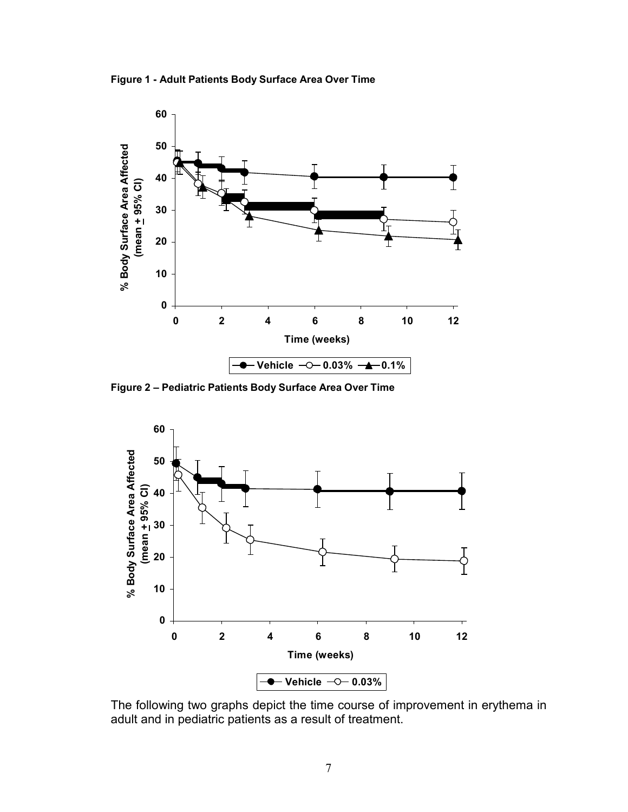**Figure 1 - Adult Patients Body Surface Area Over Time**



**Figure 2 – Pediatric Patients Body Surface Area Over Time**



The following two graphs depict the time course of improvement in erythema in adult and in pediatric patients as a result of treatment.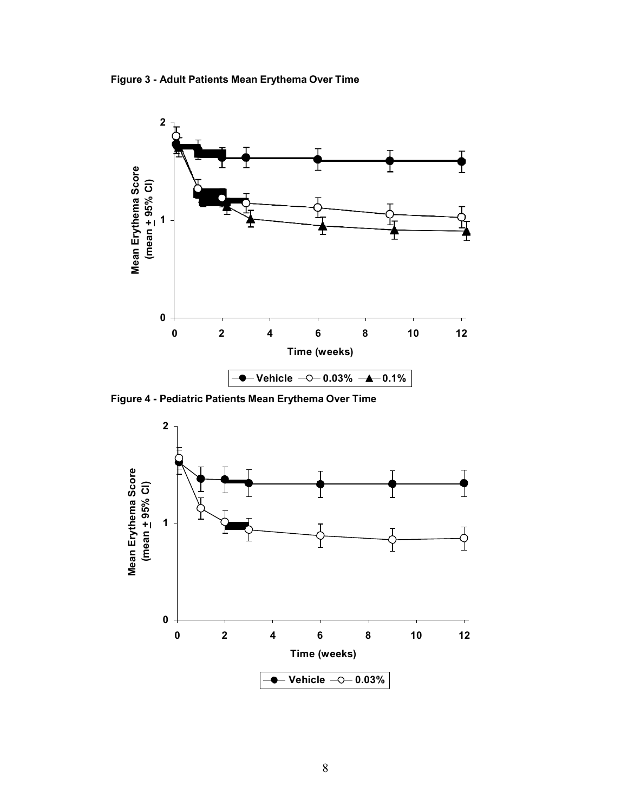**Figure 3 - Adult Patients Mean Erythema Over Time**



**Figure 4 - Pediatric Patients Mean Erythema Over Time**

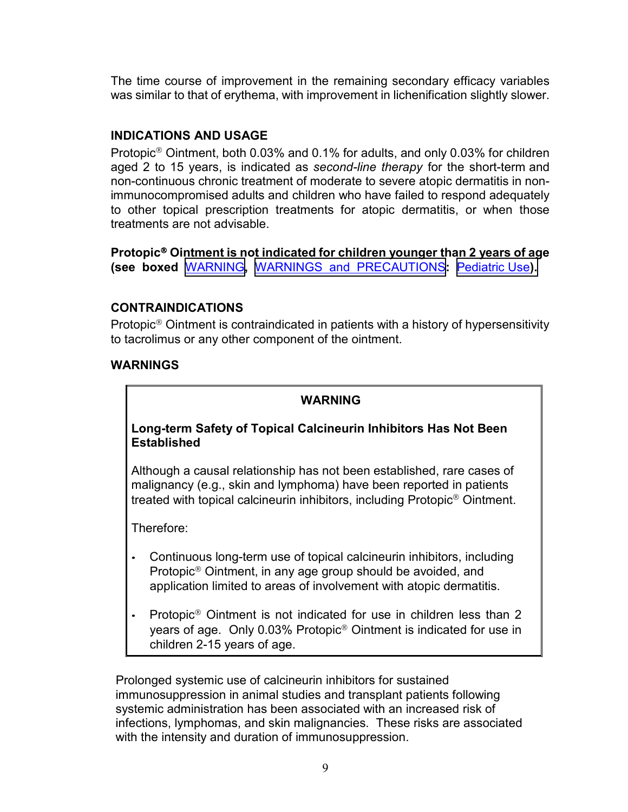<span id="page-8-0"></span>The time course of improvement in the remaining secondary efficacy variables was similar to that of erythema, with improvement in lichenification slightly slower.

## **INDICATIONS AND USAGE**

Protopic® Ointment, both 0.03% and 0.1% for adults, and only 0.03% for children aged 2 to 15 years, is indicated as *second-line therapy* for the short-term and non-continuous chronic treatment of moderate to severe atopic dermatitis in nonimmunocompromised adults and children who have failed to respond adequately to other topical prescription treatments for atopic dermatitis, or when those treatments are not advisable.

**Protopic**® **Ointment is not indicated for children younger than 2 years of age (see boxed** WARNING**,** [WARNINGS and PRECAUTIONS](#page-9-0)**:** [Pediatric Use](#page-15-0)**).**

#### **CONTRAINDICATIONS**

Protopic® Ointment is contraindicated in patients with a history of hypersensitivity to tacrolimus or any other component of the ointment.

#### **WARNINGS**

## **WARNING**

## **Long-term Safety of Topical Calcineurin Inhibitors Has Not Been Established**

Although a causal relationship has not been established, rare cases of malignancy (e.g., skin and lymphoma) have been reported in patients treated with topical calcineurin inhibitors, including Protopic® Ointment.

Therefore:

- Continuous long-term use of topical calcineurin inhibitors, including Protopic® Ointment, in any age group should be avoided, and application limited to areas of involvement with atopic dermatitis.
- Protopic® Ointment is not indicated for use in children less than 2 years of age. Only 0.03% Protopic® Ointment is indicated for use in children 2-15 years of age.

Prolonged systemic use of calcineurin inhibitors for sustained immunosuppression in animal studies and transplant patients following systemic administration has been associated with an increased risk of infections, lymphomas, and skin malignancies. These risks are associated with the intensity and duration of immunosuppression.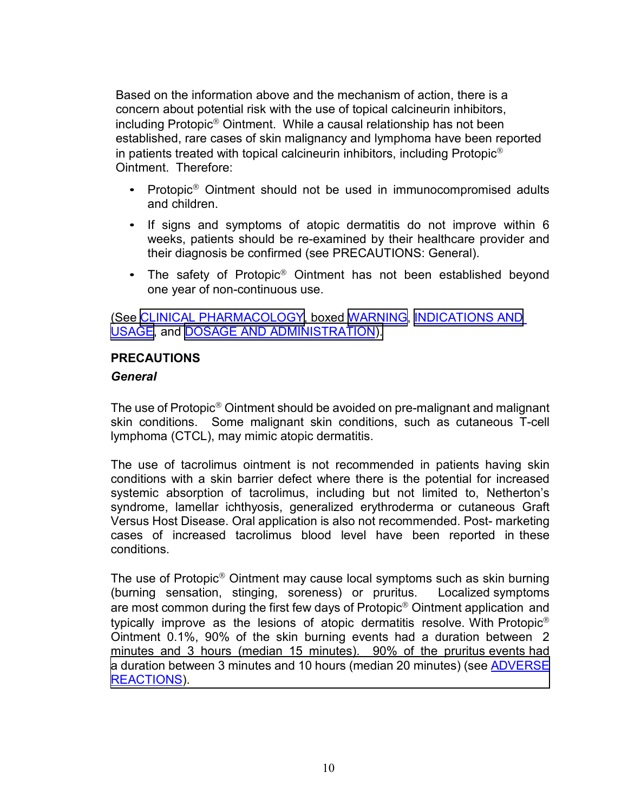<span id="page-9-0"></span>Based on the information above and the mechanism of action, there is a concern about potential risk with the use of topical calcineurin inhibitors, including Protopic® Ointment. While a causal relationship has not been established, rare cases of skin malignancy and lymphoma have been reported in patients treated with topical calcineurin inhibitors, including Protopic® Ointment. Therefore:

- Protopic<sup>®</sup> Ointment should not be used in immunocompromised adults and children.
- If signs and symptoms of atopic dermatitis do not improve within 6 weeks, patients should be re-examined by their healthcare provider and their diagnosis be confirmed (see PRECAUTIONS: General).
- The safety of Protopic<sup>®</sup> Ointment has not been established beyond one year of non-continuous use.

(See [CLINICAL PHARMACOLOGY,](#page-1-0) boxed [WARNING](#page-8-0), [INDICATIONS AND](#page-8-0) [USAGE,](#page-8-0) and [DOSAGE AND ADMINISTRATION\).](#page-19-0)

#### **PRECAUTIONS**

#### *General*

The use of Protopic® Ointment should be avoided on pre-malignant and malignant skin conditions. Some malignant skin conditions, such as cutaneous T-cell lymphoma (CTCL), may mimic atopic dermatitis.

The use of tacrolimus ointment is not recommended in patients having skin conditions with a skin barrier defect where there is the potential for increased systemic absorption of tacrolimus, including but not limited to, Netherton's syndrome, lamellar ichthyosis, generalized erythroderma or cutaneous Graft Versus Host Disease. Oral application is also not recommended. Post- marketing cases of increased tacrolimus blood level have been reported in these conditions.

The use of Protopic® Ointment may cause local symptoms such as skin burning (burning sensation, stinging, soreness) or pruritus. Localized symptoms are most common during the first few days of Protopic® Ointment application and typically improve as the lesions of atopic dermatitis resolve. With Protopic® Ointment 0.1%, 90% of the skin burning events had a duration between 2 minutes and 3 hours (median 15 minutes). 90% of the pruritus events had [a duration between 3 minutes and 10 hours \(median 20 minutes\) \(see ADVERSE](#page-16-0) REACTIONS).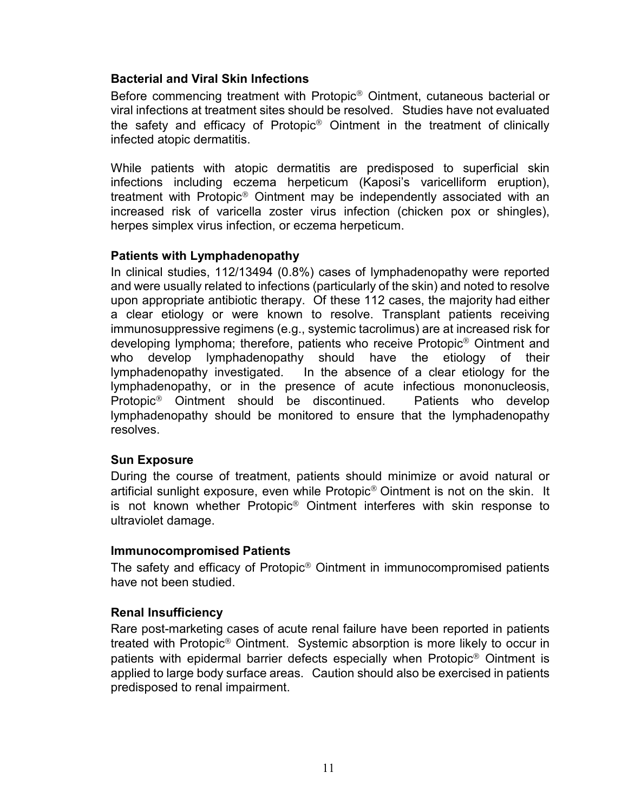## **Bacterial and Viral Skin Infections**

Before commencing treatment with Protopic® Ointment, cutaneous bacterial or viral infections at treatment sites should be resolved. Studies have not evaluated the safety and efficacy of Protopic® Ointment in the treatment of clinically infected atopic dermatitis.

While patients with atopic dermatitis are predisposed to superficial skin infections including eczema herpeticum (Kaposi's varicelliform eruption), treatment with Protopic® Ointment may be independently associated with an increased risk of varicella zoster virus infection (chicken pox or shingles), herpes simplex virus infection, or eczema herpeticum.

#### **Patients with Lymphadenopathy**

In clinical studies, 112/13494 (0.8%) cases of lymphadenopathy were reported and were usually related to infections (particularly of the skin) and noted to resolve upon appropriate antibiotic therapy. Of these 112 cases, the majority had either a clear etiology or were known to resolve. Transplant patients receiving immunosuppressive regimens (e.g., systemic tacrolimus) are at increased risk for developing lymphoma; therefore, patients who receive Protopic® Ointment and who develop lymphadenopathy should have the etiology of their lymphadenopathy investigated. In the absence of a clear etiology for the lymphadenopathy, or in the presence of acute infectious mononucleosis, Protopic® Ointment should be discontinued. Patients who develop lymphadenopathy should be monitored to ensure that the lymphadenopathy resolves.

#### **Sun Exposure**

During the course of treatment, patients should minimize or avoid natural or artificial sunlight exposure, even while Protopic® Ointment is not on the skin. It is not known whether Protopic® Ointment interferes with skin response to ultraviolet damage.

#### **Immunocompromised Patients**

The safety and efficacy of Protopic® Ointment in immunocompromised patients have not been studied.

#### **Renal Insufficiency**

Rare post-marketing cases of acute renal failure have been reported in patients treated with Protopic® Ointment. Systemic absorption is more likely to occur in patients with epidermal barrier defects especially when Protopic® Ointment is applied to large body surface areas. Caution should also be exercised in patients predisposed to renal impairment.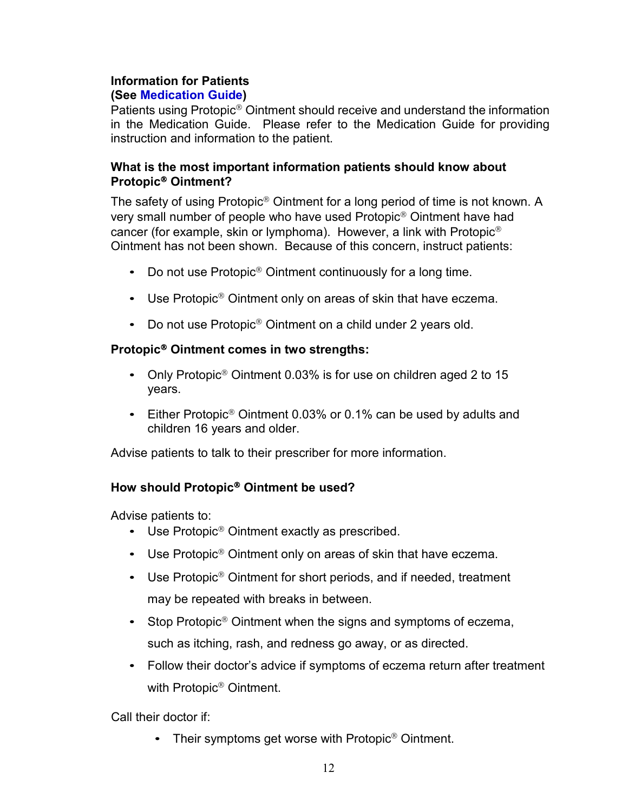# **Information for Patients**

## **(See Medication Guide)**

Patients using Protopic® Ointment should receive and understand the information in the Medication Guide. Please refer to the Medication Guide for providing instruction and information to the patient.

## **What is the most important information patients should know about Protopic**® **Ointment?**

The safety of using Protopic® Ointment for a long period of time is not known. A very small number of people who have used Protopic® Ointment have had cancer (for example, skin or lymphoma). However, a link with Protopic® Ointment has not been shown. Because of this concern, instruct patients:

- Do not use Protopic<sup>®</sup> Ointment continuously for a long time.
- Use Protopic<sup>®</sup> Ointment only on areas of skin that have eczema.
- Do not use Protopic<sup>®</sup> Ointment on a child under 2 years old.

## **Protopic**® **Ointment comes in two strengths:**

- Only Protopic<sup>®</sup> Ointment 0.03% is for use on children aged 2 to 15 years.
- Either Protopic<sup>®</sup> Ointment 0.03% or 0.1% can be used by adults and children 16 years and older.

Advise patients to talk to their prescriber for more information.

## **How should Protopic**® **Ointment be used?**

Advise patients to:

- Use Protopic<sup>®</sup> Ointment exactly as prescribed.
- Use Protopic<sup>®</sup> Ointment only on areas of skin that have eczema.
- Use Protopic<sup>®</sup> Ointment for short periods, and if needed, treatment may be repeated with breaks in between.
- Stop Protopic<sup>®</sup> Ointment when the signs and symptoms of eczema, such as itching, rash, and redness go away, or as directed.
- Follow their doctor's advice if symptoms of eczema return after treatment with Protopic® Ointment.

Call their doctor if:

• Their symptoms get worse with Protopic<sup>®</sup> Ointment.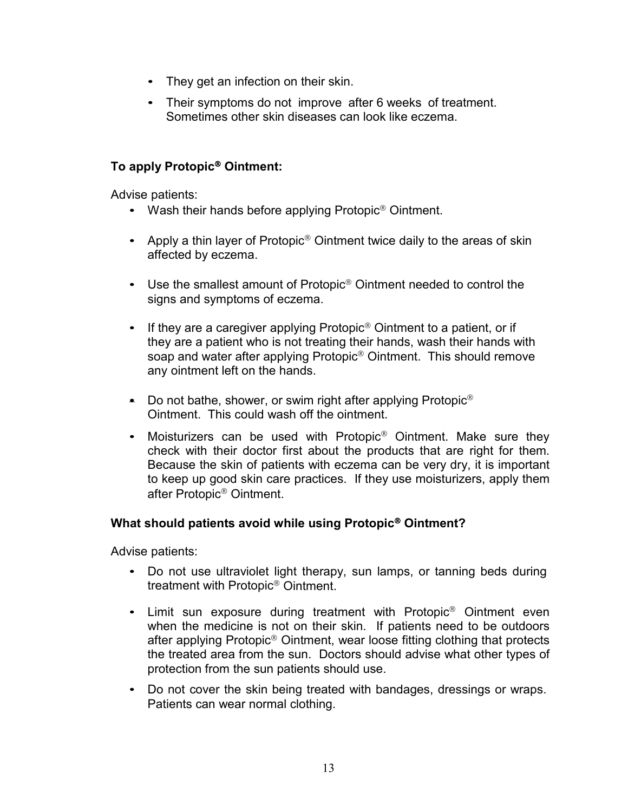- They get an infection on their skin.
- Their symptoms do not improve after 6 weeks of treatment. Sometimes other skin diseases can look like eczema.

## **To apply Protopic**® **Ointment:**

Advise patients:

- Wash their hands before applying Protopic<sup>®</sup> Ointment.
- Apply a thin layer of Protopic<sup>®</sup> Ointment twice daily to the areas of skin affected by eczema.
- Use the smallest amount of Protopic<sup>®</sup> Ointment needed to control the signs and symptoms of eczema.
- If they are a caregiver applying Protopic<sup>®</sup> Ointment to a patient, or if they are a patient who is not treating their hands, wash their hands with soap and water after applying Protopic<sup>®</sup> Ointment. This should remove any ointment left on the hands.
- Do not bathe, shower, or swim right after applying Protopic<sup>®</sup> Ointment. This could wash off the ointment.
- Moisturizers can be used with Protopic<sup>®</sup> Ointment. Make sure they check with their doctor first about the products that are right for them. Because the skin of patients with eczema can be very dry, it is important to keep up good skin care practices. If they use moisturizers, apply them after Protopic® Ointment.

#### **What should patients avoid while using Protopic**® **Ointment?**

Advise patients:

- Do not use ultraviolet light therapy, sun lamps, or tanning beds during treatment with Protopic® Ointment.
- Limit sun exposure during treatment with Protopic<sup>®</sup> Ointment even when the medicine is not on their skin. If patients need to be outdoors after applying Protopic® Ointment, wear loose fitting clothing that protects the treated area from the sun. Doctors should advise what other types of protection from the sun patients should use.
- Do not cover the skin being treated with bandages, dressings or wraps. Patients can wear normal clothing.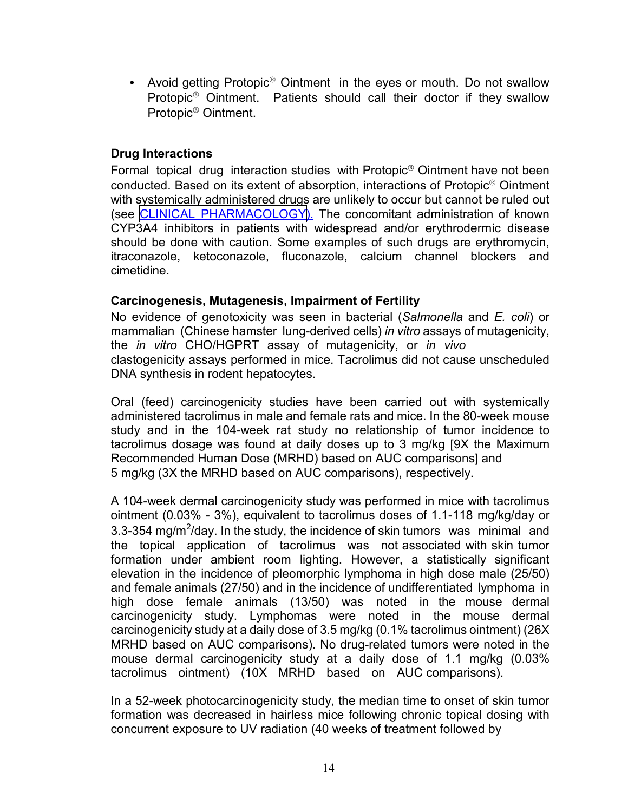• Avoid getting Protopic<sup>®</sup> Ointment in the eyes or mouth. Do not swallow Protopic® Ointment. Patients should call their doctor if they swallow Protopic® Ointment.

#### **Drug Interactions**

Formal topical drug interaction studies with Protopic® Ointment have not been conducted. Based on its extent of absorption, interactions of Protopic® Ointment with systemically administered drugs are unlikely to occur but cannot be ruled out (see [CLINICAL PHARMACOLOGY\)](#page-1-0). The concomitant administration of known CYP3A4 inhibitors in patients with widespread and/or erythrodermic disease should be done with caution. Some examples of such drugs are erythromycin, itraconazole, ketoconazole, fluconazole, calcium channel blockers and cimetidine.

#### **Carcinogenesis, Mutagenesis, Impairment of Fertility**

No evidence of genotoxicity was seen in bacterial (*Salmonella* and *E. coli*) or mammalian (Chinese hamster lung-derived cells) *in vitro* assays of mutagenicity, the *in vitro* CHO/HGPRT assay of mutagenicity, or *in vivo* clastogenicity assays performed in mice. Tacrolimus did not cause unscheduled DNA synthesis in rodent hepatocytes.

Oral (feed) carcinogenicity studies have been carried out with systemically administered tacrolimus in male and female rats and mice. In the 80-week mouse study and in the 104-week rat study no relationship of tumor incidence to tacrolimus dosage was found at daily doses up to 3 mg/kg [9X the Maximum Recommended Human Dose (MRHD) based on AUC comparisons] and 5 mg/kg (3X the MRHD based on AUC comparisons), respectively.

A 104-week dermal carcinogenicity study was performed in mice with tacrolimus ointment (0.03% - 3%), equivalent to tacrolimus doses of 1.1-118 mg/kg/day or 3.3-354 mg/m<sup>2</sup>/day. In the study, the incidence of skin tumors was minimal and the topical application of tacrolimus was not associated with skin tumor formation under ambient room lighting. However, a statistically significant elevation in the incidence of pleomorphic lymphoma in high dose male (25/50) and female animals (27/50) and in the incidence of undifferentiated lymphoma in high dose female animals (13/50) was noted in the mouse dermal carcinogenicity study. Lymphomas were noted in the mouse dermal carcinogenicity study at a daily dose of 3.5 mg/kg (0.1% tacrolimus ointment) (26X MRHD based on AUC comparisons). No drug-related tumors were noted in the mouse dermal carcinogenicity study at a daily dose of 1.1 mg/kg (0.03% tacrolimus ointment) (10X MRHD based on AUC comparisons).

In a 52-week photocarcinogenicity study, the median time to onset of skin tumor formation was decreased in hairless mice following chronic topical dosing with concurrent exposure to UV radiation (40 weeks of treatment followed by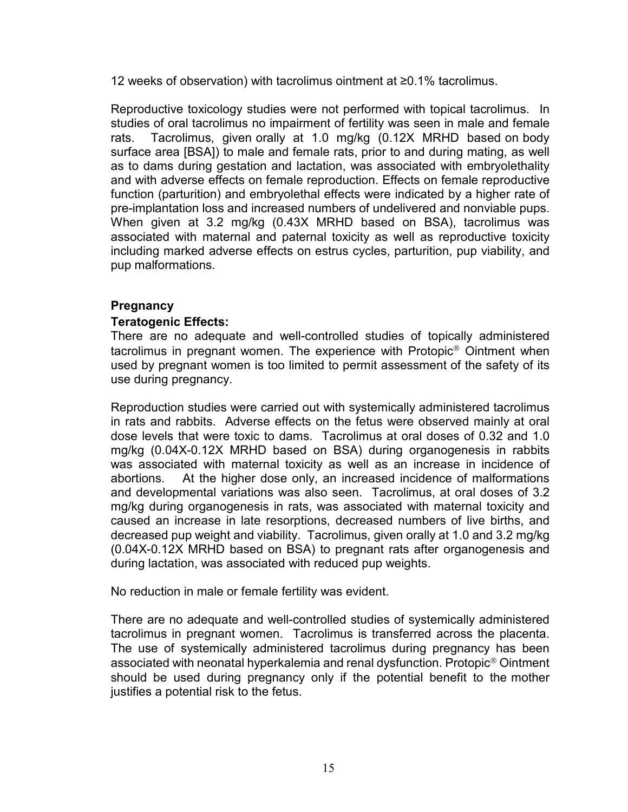12 weeks of observation) with tacrolimus ointment at ≥0.1% tacrolimus.

Reproductive toxicology studies were not performed with topical tacrolimus. In studies of oral tacrolimus no impairment of fertility was seen in male and female rats. Tacrolimus, given orally at 1.0 mg/kg (0.12X MRHD based on body surface area [BSA]) to male and female rats, prior to and during mating, as well as to dams during gestation and lactation, was associated with embryolethality and with adverse effects on female reproduction. Effects on female reproductive function (parturition) and embryolethal effects were indicated by a higher rate of pre-implantation loss and increased numbers of undelivered and nonviable pups. When given at 3.2 mg/kg (0.43X MRHD based on BSA), tacrolimus was associated with maternal and paternal toxicity as well as reproductive toxicity including marked adverse effects on estrus cycles, parturition, pup viability, and pup malformations.

## **Pregnancy**

#### **Teratogenic Effects:**

There are no adequate and well-controlled studies of topically administered tacrolimus in pregnant women. The experience with Protopic® Ointment when used by pregnant women is too limited to permit assessment of the safety of its use during pregnancy.

Reproduction studies were carried out with systemically administered tacrolimus in rats and rabbits. Adverse effects on the fetus were observed mainly at oral dose levels that were toxic to dams. Tacrolimus at oral doses of 0.32 and 1.0 mg/kg (0.04X-0.12X MRHD based on BSA) during organogenesis in rabbits was associated with maternal toxicity as well as an increase in incidence of abortions. At the higher dose only, an increased incidence of malformations and developmental variations was also seen. Tacrolimus, at oral doses of 3.2 mg/kg during organogenesis in rats, was associated with maternal toxicity and caused an increase in late resorptions, decreased numbers of live births, and decreased pup weight and viability. Tacrolimus, given orally at 1.0 and 3.2 mg/kg (0.04X-0.12X MRHD based on BSA) to pregnant rats after organogenesis and during lactation, was associated with reduced pup weights.

No reduction in male or female fertility was evident.

There are no adequate and well-controlled studies of systemically administered tacrolimus in pregnant women. Tacrolimus is transferred across the placenta. The use of systemically administered tacrolimus during pregnancy has been associated with neonatal hyperkalemia and renal dysfunction. Protopic® Ointment should be used during pregnancy only if the potential benefit to the mother justifies a potential risk to the fetus.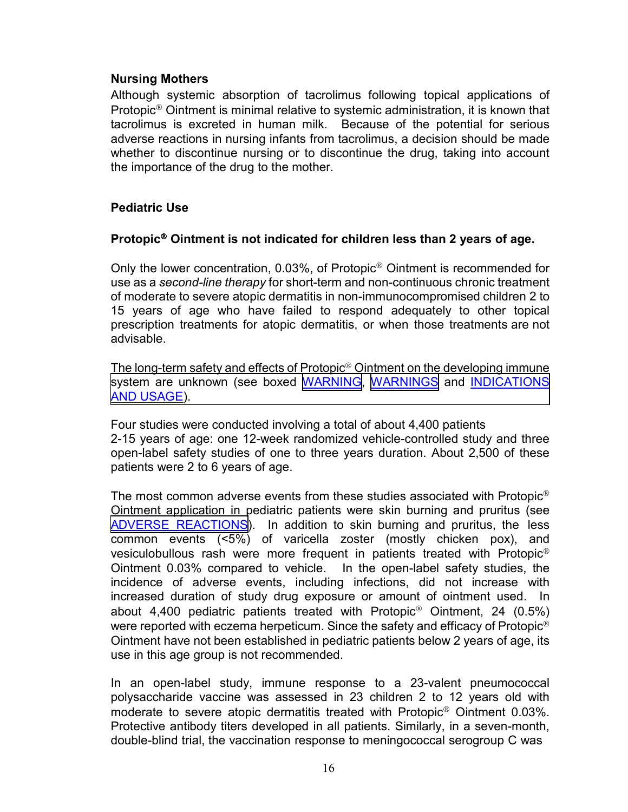#### <span id="page-15-0"></span>**Nursing Mothers**

Although systemic absorption of tacrolimus following topical applications of Protopic® Ointment is minimal relative to systemic administration, it is known that tacrolimus is excreted in human milk. Because of the potential for serious adverse reactions in nursing infants from tacrolimus, a decision should be made whether to discontinue nursing or to discontinue the drug, taking into account the importance of the drug to the mother.

#### **Pediatric Use**

#### **Protopic**® **Ointment is not indicated for children less than 2 years of age.**

Only the lower concentration, 0.03%, of Protopic® Ointment is recommended for use as a *second-line therapy* for short-term and non-continuous chronic treatment of moderate to severe atopic dermatitis in non-immunocompromised children 2 to 15 years of age who have failed to respond adequately to other topical prescription treatments for atopic dermatitis, or when those treatments are not advisable.

The long-term safety and effects of Protopic® Ointment on the developing immune [system are unknown \(see boxed WARNING, WARNINGS](#page-8-0) and INDICATIONS AND USAGE).

Four studies were conducted involving a total of about 4,400 patients 2-15 years of age: one 12-week randomized vehicle-controlled study and three open-label safety studies of one to three years duration. About 2,500 of these patients were 2 to 6 years of age.

The most common adverse events from these studies associated with Protopic® Ointment application in pediatric patients were skin burning and pruritus (see [ADVERSE REACTIONS\)](#page-16-0). In addition to skin burning and pruritus, the less common events (<5%) of varicella zoster (mostly chicken pox), and vesiculobullous rash were more frequent in patients treated with Protopic® Ointment 0.03% compared to vehicle. In the open-label safety studies, the incidence of adverse events, including infections, did not increase with increased duration of study drug exposure or amount of ointment used. In about 4,400 pediatric patients treated with Protopic® Ointment, 24 (0.5%) were reported with eczema herpeticum. Since the safety and efficacy of Protopic<sup>®</sup> Ointment have not been established in pediatric patients below 2 years of age, its use in this age group is not recommended.

In an open-label study, immune response to a 23-valent pneumococcal polysaccharide vaccine was assessed in 23 children 2 to 12 years old with moderate to severe atopic dermatitis treated with Protopic® Ointment 0.03%. Protective antibody titers developed in all patients. Similarly, in a seven-month, double-blind trial, the vaccination response to meningococcal serogroup C was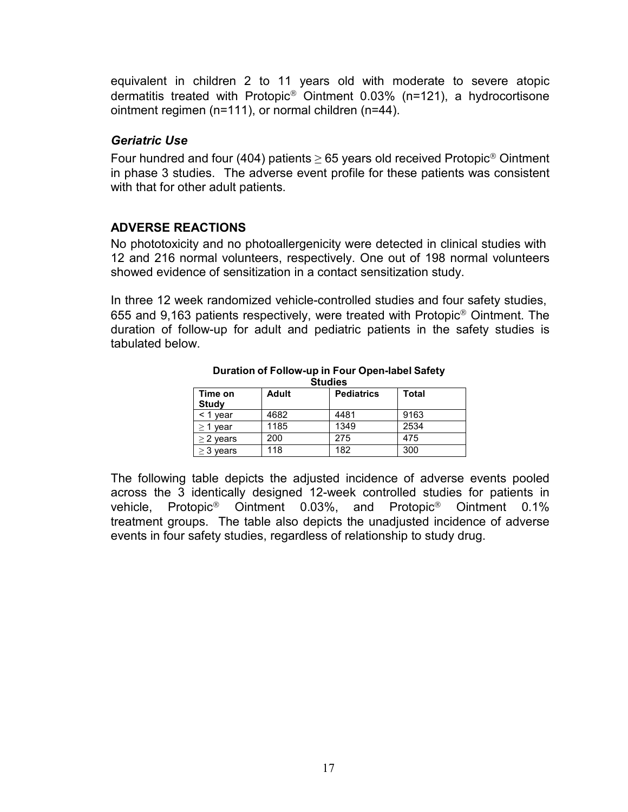<span id="page-16-0"></span>equivalent in children 2 to 11 years old with moderate to severe atopic dermatitis treated with Protopic® Ointment 0.03% (n=121), a hydrocortisone ointment regimen (n=111), or normal children (n=44).

#### *Geriatric Use*

Four hundred and four (404) patients  $\geq$  65 years old received Protopic<sup>®</sup> Ointment in phase 3 studies. The adverse event profile for these patients was consistent with that for other adult patients.

## **ADVERSE REACTIONS**

No phototoxicity and no photoallergenicity were detected in clinical studies with 12 and 216 normal volunteers, respectively. One out of 198 normal volunteers showed evidence of sensitization in a contact sensitization study.

In three 12 week randomized vehicle-controlled studies and four safety studies, 655 and 9,163 patients respectively, were treated with Protopic® Ointment. The duration of follow-up for adult and pediatric patients in the safety studies is tabulated below.

| -------                 |              |                   |       |  |  |  |  |
|-------------------------|--------------|-------------------|-------|--|--|--|--|
| Time on<br><b>Study</b> | <b>Adult</b> | <b>Pediatrics</b> | Total |  |  |  |  |
| $<$ 1 vear              | 4682         | 4481              | 9163  |  |  |  |  |
| $>$ 1 year              | 1185         | 1349              | 2534  |  |  |  |  |
| $\geq$ 2 years          | 200          | 275               | 475   |  |  |  |  |
| $>$ 3 vears             | 118          | 182               | 300   |  |  |  |  |

**Duration of Follow-up in Four Open-label Safety Studies**

The following table depicts the adjusted incidence of adverse events pooled across the 3 identically designed 12-week controlled studies for patients in vehicle, Protopic® Ointment 0.03%, and Protopic® Ointment 0.1% treatment groups. The table also depicts the unadjusted incidence of adverse events in four safety studies, regardless of relationship to study drug.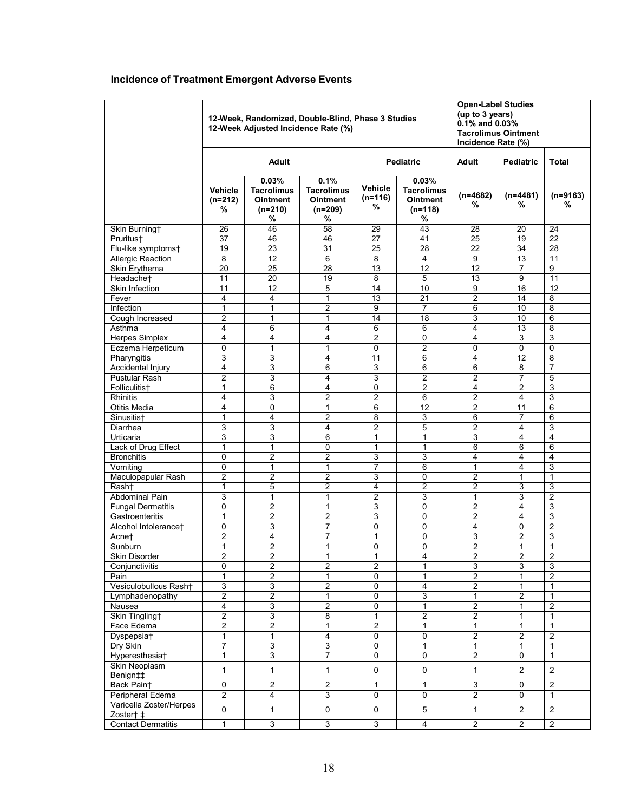# <span id="page-17-0"></span>**Incidence of Treatment Emergent Adverse Events**

|                           | 12-Week, Randomized, Double-Blind, Phase 3 Studies<br>12-Week Adjusted Incidence Rate (%) |                                                                 |                                                                |                                  |                                                                 | <b>Open-Label Studies</b><br>(up to 3 years)<br>$0.1\%$ and $0.03\%$<br><b>Tacrolimus Ointment</b><br>Incidence Rate (%) |                  |                 |  |
|---------------------------|-------------------------------------------------------------------------------------------|-----------------------------------------------------------------|----------------------------------------------------------------|----------------------------------|-----------------------------------------------------------------|--------------------------------------------------------------------------------------------------------------------------|------------------|-----------------|--|
|                           | Adult                                                                                     |                                                                 |                                                                | <b>Pediatric</b>                 |                                                                 | Adult                                                                                                                    | <b>Pediatric</b> | Total           |  |
|                           | <b>Vehicle</b><br>$(n=212)$<br>%                                                          | 0.03%<br><b>Tacrolimus</b><br><b>Ointment</b><br>$(n=210)$<br>% | 0.1%<br><b>Tacrolimus</b><br><b>Ointment</b><br>$(n=209)$<br>% | <b>Vehicle</b><br>$(n=116)$<br>℅ | 0.03%<br><b>Tacrolimus</b><br><b>Ointment</b><br>$(n=118)$<br>% | $(n=4682)$<br>℅                                                                                                          | $(n=4481)$<br>%  | $(n=9163)$<br>% |  |
| Skin Burning†             | 26                                                                                        | 46                                                              | 58                                                             | 29                               | 43                                                              | 28                                                                                                                       | 20               | 24              |  |
| Pruritus†                 | 37                                                                                        | 46                                                              | 46                                                             | 27                               | 41                                                              | 25                                                                                                                       | 19               | 22              |  |
| Flu-like symptoms†        | 19                                                                                        | $\overline{23}$                                                 | 31                                                             | 25                               | 28                                                              | 22                                                                                                                       | 34               | $\overline{28}$ |  |
| <b>Allergic Reaction</b>  | 8                                                                                         | 12                                                              | 6                                                              | 8                                | 4                                                               | 9                                                                                                                        | 13               | 11              |  |
| Skin Erythema             | 20                                                                                        | $\overline{25}$                                                 | $\overline{28}$                                                | $\overline{13}$                  | $\overline{12}$                                                 | $\overline{12}$                                                                                                          | $\overline{7}$   | 9               |  |
| Headachet                 | 11                                                                                        | 20                                                              | 19                                                             | 8                                | 5                                                               | 13                                                                                                                       | 9                | 11              |  |
| Skin Infection            | $\overline{11}$                                                                           | $\overline{12}$                                                 | 5                                                              | $\overline{14}$                  | $\overline{10}$                                                 | 9                                                                                                                        | 16               | $\overline{12}$ |  |
| Fever                     | $\overline{4}$                                                                            | 4                                                               | $\mathbf{1}$                                                   | $\overline{13}$                  | 21                                                              | $\overline{2}$                                                                                                           | 14               | 8               |  |
| Infection                 | 1                                                                                         | 1                                                               | $\overline{2}$                                                 | 9                                | 7                                                               | 6                                                                                                                        | 10               | $\overline{8}$  |  |
| Cough Increased           | $\overline{2}$                                                                            | 1                                                               | $\mathbf{1}$                                                   | 14                               | 18                                                              | 3                                                                                                                        | 10               | 6               |  |
| Asthma                    | 4                                                                                         | 6                                                               | 4                                                              | 6                                | 6                                                               | 4                                                                                                                        | 13               | 8               |  |
| <b>Herpes Simplex</b>     | 4                                                                                         | 4                                                               | 4                                                              | $\overline{2}$                   | 0                                                               | 4                                                                                                                        | 3                | 3               |  |
| Eczema Herpeticum         | $\mathbf 0$                                                                               | $\mathbf{1}$                                                    | $\mathbf{1}$                                                   | 0                                | $\overline{2}$                                                  | 0                                                                                                                        | 0                | $\mathbf{0}$    |  |
| Pharyngitis               | 3                                                                                         | 3                                                               | 4                                                              | 11                               | 6                                                               | 4                                                                                                                        | 12               | 8               |  |
| Accidental Injury         | 4                                                                                         | 3                                                               | 6                                                              | 3                                | 6                                                               | 6                                                                                                                        | 8                | 7               |  |
| Pustular Rash             | 2                                                                                         | 3                                                               | 4                                                              | 3                                | 2                                                               | 2                                                                                                                        | 7                | 5               |  |
| Folliculitis†             | $\mathbf{1}$                                                                              | 6                                                               | 4                                                              | 0                                | $\overline{2}$                                                  | 4                                                                                                                        | $\overline{2}$   | 3               |  |
| <b>Rhinitis</b>           | 4                                                                                         | 3                                                               | $\overline{c}$                                                 | 2                                | 6                                                               | 2                                                                                                                        | 4                | 3               |  |
| Otitis Media              | 4                                                                                         | 0                                                               | $\mathbf{1}$                                                   | 6                                | 12                                                              | 2                                                                                                                        | 11               | 6               |  |
| Sinusitis†                | 1                                                                                         | 4                                                               | $\overline{2}$                                                 | 8                                | 3                                                               | 6                                                                                                                        | 7                | 6               |  |
| Diarrhea                  | 3                                                                                         | 3                                                               | 4                                                              | 2                                | 5                                                               | $\overline{2}$                                                                                                           | 4                | 3               |  |
| Urticaria                 | 3                                                                                         | 3                                                               | 6                                                              | 1                                | 1                                                               | 3                                                                                                                        | 4                | 4               |  |
| Lack of Drug Effect       | $\overline{1}$                                                                            | $\mathbf{1}$                                                    | 0                                                              | $\mathbf{1}$                     | $\mathbf{1}$                                                    | 6                                                                                                                        | 6                | $\overline{6}$  |  |
| <b>Bronchitis</b>         | 0                                                                                         | 2                                                               | $\boldsymbol{2}$                                               | 3                                | 3                                                               | 4                                                                                                                        | 4                | 4               |  |
| Vomiting                  | 0                                                                                         | $\mathbf{1}$                                                    | $\mathbf{1}$                                                   | 7                                | 6                                                               | 1                                                                                                                        | 4                | 3               |  |
| Maculopapular Rash        | $\overline{2}$                                                                            | $\overline{2}$                                                  | $\overline{2}$                                                 | 3                                | 0                                                               | $\overline{2}$                                                                                                           | 1                | 1               |  |
| Rash†                     | 1                                                                                         | 5                                                               | $\overline{2}$                                                 | 4                                | 2                                                               | 2                                                                                                                        | 3                | 3               |  |
| Abdominal Pain            | 3                                                                                         | $\mathbf{1}$                                                    | $\mathbf{1}$                                                   | $\overline{2}$                   | 3                                                               | 1                                                                                                                        | 3                | $\overline{2}$  |  |
| <b>Fungal Dermatitis</b>  | $\mathbf 0$                                                                               | 2                                                               | $\mathbf{1}$                                                   | 3                                | 0                                                               | 2                                                                                                                        | 4                | 3               |  |
| Gastroenteritis           | $\mathbf{1}$                                                                              | $\overline{2}$                                                  | $\overline{2}$                                                 | 3                                | $\Omega$                                                        | 2                                                                                                                        | 4                | $\overline{3}$  |  |
| Alcohol Intolerancet      | $\mathbf 0$                                                                               | 3                                                               | 7                                                              | 0                                | $\Omega$                                                        | 4                                                                                                                        | 0                | $\overline{2}$  |  |
| Acne†                     | $\overline{2}$                                                                            | 4                                                               | 7                                                              | 1                                | 0                                                               | 3                                                                                                                        | 2                | 3               |  |
| Sunburn                   | $\mathbf{1}$                                                                              | $\overline{2}$                                                  | 1                                                              | 0                                | 0                                                               | $\overline{2}$                                                                                                           | $\mathbf{1}$     | 1               |  |
| Skin Disorder             | $\overline{2}$                                                                            | $\overline{2}$                                                  | $\mathbf{1}$                                                   | 1                                | 4                                                               | $\overline{2}$                                                                                                           | $\overline{2}$   | $\overline{2}$  |  |
| Conjunctivitis            | 0                                                                                         | 2                                                               | $\boldsymbol{2}$                                               | 2                                | 1                                                               | 3                                                                                                                        | 3                | $\overline{3}$  |  |
| Pain                      | $\mathbf{1}$                                                                              | $\overline{2}$                                                  | $\mathbf{1}$                                                   | 0                                | $\mathbf{1}$                                                    | $\overline{2}$                                                                                                           | $\mathbf{1}$     | $\overline{2}$  |  |
| Vesiculobullous Rash†     | 3                                                                                         | 3                                                               | $\overline{2}$                                                 | 0                                | $\overline{4}$                                                  | 2                                                                                                                        | 1                | 1               |  |
| Lymphadenopathy           | $\overline{2}$                                                                            | 2                                                               | 1                                                              | $\overline{0}$                   | $\overline{3}$                                                  | 1                                                                                                                        | $\overline{2}$   | 1               |  |
| Nausea                    | $\overline{4}$                                                                            | 3                                                               | $\overline{2}$                                                 | 0                                | $\mathbf{1}$                                                    | $\overline{2}$                                                                                                           | $\mathbf{1}$     | $\overline{2}$  |  |
| Skin Tingling†            | $\overline{2}$                                                                            | 3                                                               | 8                                                              | 1                                | $\sqrt{2}$                                                      | $\overline{2}$                                                                                                           | $\mathbf{1}$     | 1               |  |
| Face Edema                | $\overline{2}$                                                                            | $\overline{2}$                                                  | $\mathbf{1}$                                                   | $\overline{2}$                   | $\mathbf{1}$                                                    | $\mathbf{1}$                                                                                                             | $\mathbf{1}$     | 1               |  |
| Dyspepsia†                | 1                                                                                         | $\mathbf{1}$                                                    | 4                                                              | 0                                | $\overline{0}$                                                  | $\overline{2}$                                                                                                           | $\overline{2}$   | $\overline{2}$  |  |
| Dry Skin                  | 7                                                                                         | 3                                                               | 3                                                              | $\overline{0}$                   | $\mathbf{1}$                                                    | 1                                                                                                                        | $\mathbf{1}$     | $\mathbf{1}$    |  |
| Hyperesthesia†            | 1                                                                                         | 3                                                               | 7                                                              | 0                                | 0                                                               | 2                                                                                                                        | 0                | $\mathbf{1}$    |  |
| Skin Neoplasm             | $\mathbf{1}$                                                                              | $\mathbf{1}$                                                    | $\mathbf{1}$                                                   | $\pmb{0}$                        | $\mathbf 0$                                                     | 1                                                                                                                        | $\overline{2}$   | $\overline{2}$  |  |
| Benign‡‡                  |                                                                                           |                                                                 |                                                                |                                  |                                                                 |                                                                                                                          |                  |                 |  |
| Back Paint                | $\overline{0}$                                                                            | 2                                                               | $\overline{2}$                                                 | 1                                | 1                                                               | 3                                                                                                                        | $\overline{0}$   | $\overline{2}$  |  |
| Peripheral Edema          | $\overline{2}$                                                                            | 4                                                               | 3                                                              | 0                                | $\mathbf 0$                                                     | $\overline{2}$                                                                                                           | 0                | $\mathbf{1}$    |  |
| Varicella Zoster/Herpes   | 0                                                                                         | $\mathbf{1}$                                                    | 0                                                              | 0                                | 5                                                               | $\mathbf{1}$                                                                                                             | $\overline{c}$   | $\overline{2}$  |  |
| Zoster† ‡                 |                                                                                           |                                                                 |                                                                |                                  |                                                                 |                                                                                                                          |                  |                 |  |
| <b>Contact Dermatitis</b> | $\mathbf{1}$                                                                              | $\overline{3}$                                                  | 3                                                              | $\overline{3}$                   | 4                                                               | $\overline{2}$                                                                                                           | $\overline{2}$   | $\overline{2}$  |  |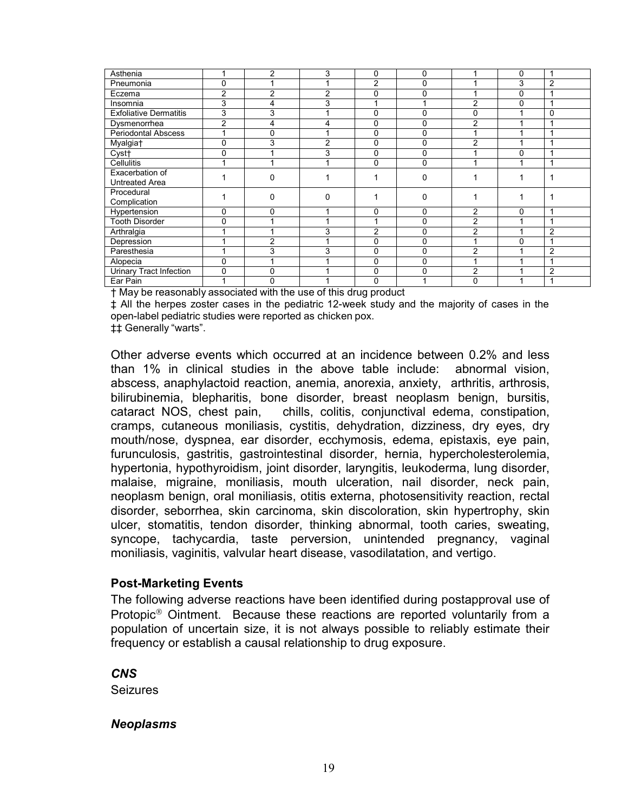<span id="page-18-0"></span>

| Asthenia                                                          |             | $\overline{2}$                   | 3              | 0              | 0            |                | 0 |                |
|-------------------------------------------------------------------|-------------|----------------------------------|----------------|----------------|--------------|----------------|---|----------------|
| Pneumonia                                                         | 0           |                                  |                | $\overline{2}$ | 0            |                | 3 | $\overline{2}$ |
| Eczema                                                            | 2           | 2                                | $\overline{2}$ | 0              | 0            |                | 0 |                |
| Insomnia                                                          | 3           | 4                                | 3              |                |              | $\overline{2}$ | 0 |                |
| <b>Exfoliative Dermatitis</b>                                     | 3           | 3                                |                | 0              | 0            | 0              |   | 0              |
| Dysmenorrhea                                                      | 2           | 4                                | 4              | 0              | 0            | $\overline{2}$ |   |                |
| <b>Periodontal Abscess</b>                                        |             | $\Omega$                         |                | 0              | 0            |                |   |                |
| Myalgia <sup>+</sup>                                              | 0           | 3                                | $\overline{2}$ | 0              | 0            | $\overline{2}$ |   |                |
| Cyst <sub>†</sub>                                                 | 0           |                                  | 3              | 0              | 0            |                | 0 |                |
| Cellulitis                                                        |             |                                  |                | 0              | $\Omega$     |                |   |                |
| Exacerbation of                                                   |             | $\Omega$                         |                |                | 0            |                |   |                |
| <b>Untreated Area</b>                                             |             |                                  |                |                |              |                |   |                |
| Procedural                                                        |             | $\Omega$                         | 0              |                | 0            |                |   |                |
| Complication                                                      |             |                                  |                |                |              |                |   |                |
| Hypertension                                                      | 0           | $\Omega$                         |                | 0              | 0            | $\overline{2}$ | 0 |                |
| <b>Tooth Disorder</b>                                             | 0           |                                  |                |                | 0            | $\overline{2}$ |   |                |
| Arthralgia                                                        |             |                                  | 3              | $\overline{2}$ | 0            | $\overline{2}$ |   | $\overline{2}$ |
| Depression                                                        |             | $\overline{2}$                   |                | 0              | $\mathbf{0}$ |                | 0 |                |
| Paresthesia                                                       |             | 3                                | 3              | 0              | 0            | $\overline{2}$ |   | $\overline{2}$ |
| Alopecia                                                          | $\mathbf 0$ |                                  |                | $\mathbf{0}$   | $\Omega$     |                |   |                |
| <b>Urinary Tract Infection</b>                                    | $\Omega$    | $\Omega$                         |                | 0              | $\Omega$     | $\overline{2}$ |   | 2              |
| Ear Pain<br>. .<br>$\mathbf{r}$ and $\mathbf{r}$<br>$\sim$ $\sim$ |             | $\Omega$<br>.<br><b>PART ARE</b> |                | $\mathbf 0$    |              | 0              |   |                |

[†](#page-17-0) May be reasonably associated with the use of this drug product

[‡](#page-17-0) All the herpes zoster cases in the pediatric 12-week study and the majority of cases in the open-label pediatric studies were reported as chicken pox.

[‡‡](#page-17-0) Generally "warts".

Other adverse events which occurred at an incidence between 0.2% and less than 1% in clinical studies in the above table include: abnormal vision, abscess, anaphylactoid reaction, anemia, anorexia, anxiety, arthritis, arthrosis, bilirubinemia, blepharitis, bone disorder, breast neoplasm benign, bursitis, cataract NOS, chest pain, chills, colitis, conjunctival edema, constipation, cramps, cutaneous moniliasis, cystitis, dehydration, dizziness, dry eyes, dry mouth/nose, dyspnea, ear disorder, ecchymosis, edema, epistaxis, eye pain, furunculosis, gastritis, gastrointestinal disorder, hernia, hypercholesterolemia, hypertonia, hypothyroidism, joint disorder, laryngitis, leukoderma, lung disorder, malaise, migraine, moniliasis, mouth ulceration, nail disorder, neck pain, neoplasm benign, oral moniliasis, otitis externa, photosensitivity reaction, rectal disorder, seborrhea, skin carcinoma, skin discoloration, skin hypertrophy, skin ulcer, stomatitis, tendon disorder, thinking abnormal, tooth caries, sweating, syncope, tachycardia, taste perversion, unintended pregnancy, vaginal moniliasis, vaginitis, valvular heart disease, vasodilatation, and vertigo.

#### **Post-Marketing Events**

The following adverse reactions have been identified during postapproval use of Protopic® Ointment. Because these reactions are reported voluntarily from a population of uncertain size, it is not always possible to reliably estimate their frequency or establish a causal relationship to drug exposure.

*CNS*

**Seizures** 

#### *Neoplasms*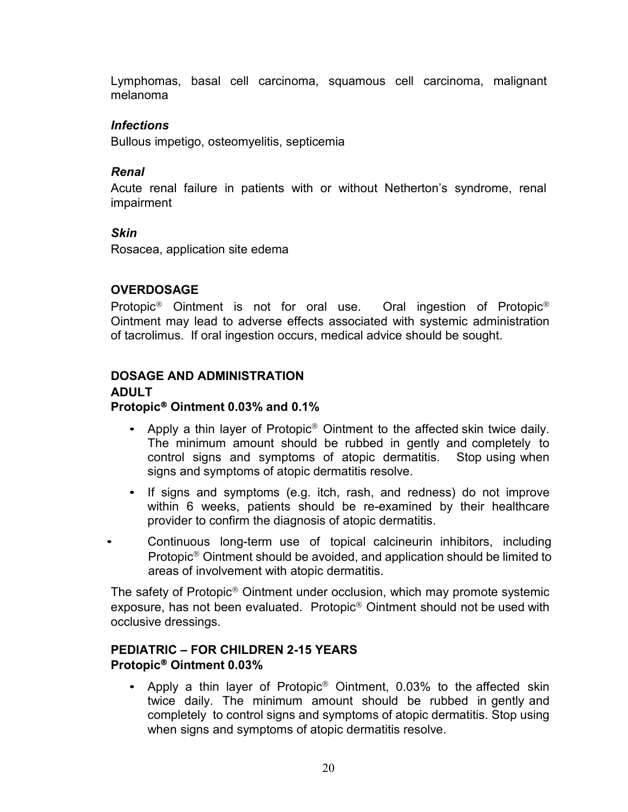<span id="page-19-0"></span>Lymphomas, basal cell carcinoma, squamous cell carcinoma, malignant melanoma

#### *Infections*

Bullous impetigo, osteomyelitis, septicemia

#### *Renal*

Acute renal failure in patients with or without Netherton's syndrome, renal impairment

#### *Skin*

Rosacea, application site edema

#### **OVERDOSAGE**

Protopic® Ointment is not for oral use. Oral ingestion of Protopic® Ointment may lead to adverse effects associated with systemic administration of tacrolimus. If oral ingestion occurs, medical advice should be sought.

## **DOSAGE AND ADMINISTRATION**

#### **ADULT Protopic**® **Ointment 0.03% and 0.1%**

- Apply a thin layer of Protopic<sup>®</sup> Ointment to the affected skin twice daily. The minimum amount should be rubbed in gently and completely to control signs and symptoms of atopic dermatitis. Stop using when signs and symptoms of atopic dermatitis resolve.
- If signs and symptoms (e.g. itch, rash, and redness) do not improve within 6 weeks, patients should be re-examined by their healthcare provider to confirm the diagnosis of atopic dermatitis.
- Continuous long-term use of topical calcineurin inhibitors, including Protopic® Ointment should be avoided, and application should be limited to areas of involvement with atopic dermatitis.

The safety of Protopic® Ointment under occlusion, which may promote systemic exposure, has not been evaluated. Protopic® Ointment should not be used with occlusive dressings.

#### **PEDIATRIC – FOR CHILDREN 2-15 YEARS Protopic**® **Ointment 0.03%**

• Apply a thin layer of Protopic® Ointment, 0.03% to the affected skin twice daily. The minimum amount should be rubbed in gently and completely to control signs and symptoms of atopic dermatitis. Stop using when signs and symptoms of atopic dermatitis resolve.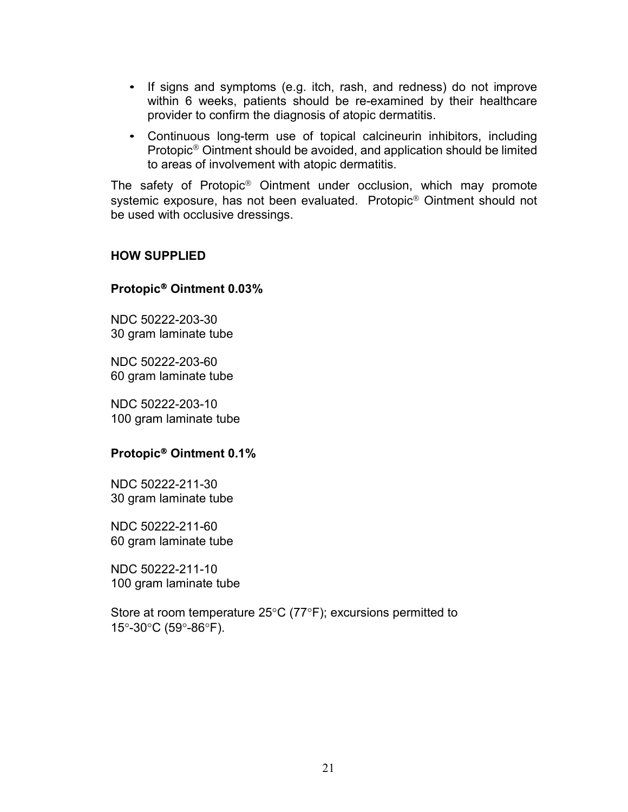- If signs and symptoms (e.g. itch, rash, and redness) do not improve within 6 weeks, patients should be re-examined by their healthcare provider to confirm the diagnosis of atopic dermatitis.
- Continuous long-term use of topical calcineurin inhibitors, including Protopic® Ointment should be avoided, and application should be limited to areas of involvement with atopic dermatitis.

The safety of Protopic® Ointment under occlusion, which may promote systemic exposure, has not been evaluated. Protopic® Ointment should not be used with occlusive dressings.

#### **HOW SUPPLIED**

#### **Protopic**® **Ointment 0.03%**

NDC 50222-203-30 30 gram laminate tube

NDC 50222-203-60 60 gram laminate tube

NDC 50222-203-10 100 gram laminate tube

#### **Protopic**® **Ointment 0.1%**

NDC 50222-211-30 30 gram laminate tube

NDC 50222-211-60 60 gram laminate tube

NDC 50222-211-10 100 gram laminate tube

Store at room temperature 25°C (77°F); excursions permitted to 15°-30°C (59°-86°F).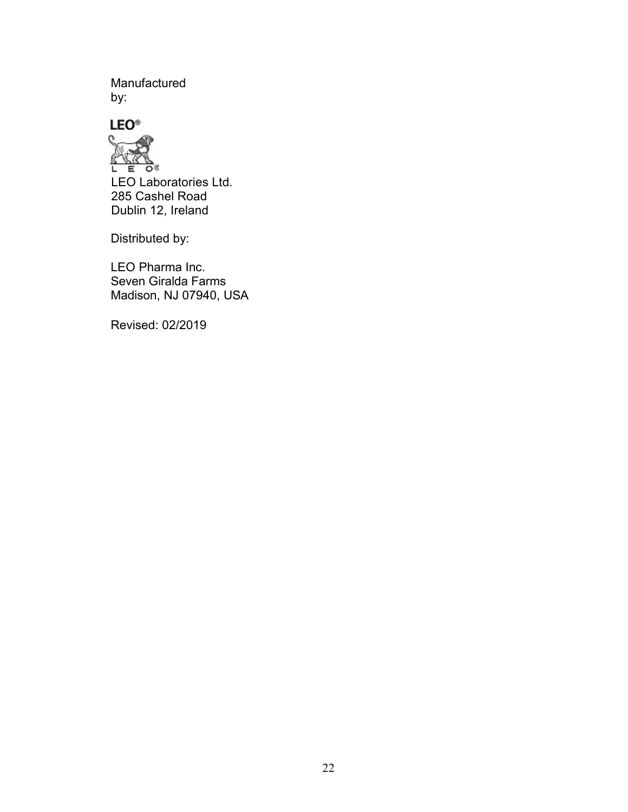Manufactured by:





Distributed by:

LEO Pharma Inc. Seven Giralda Farms Madison, NJ 07940, USA

Revised: 02/2019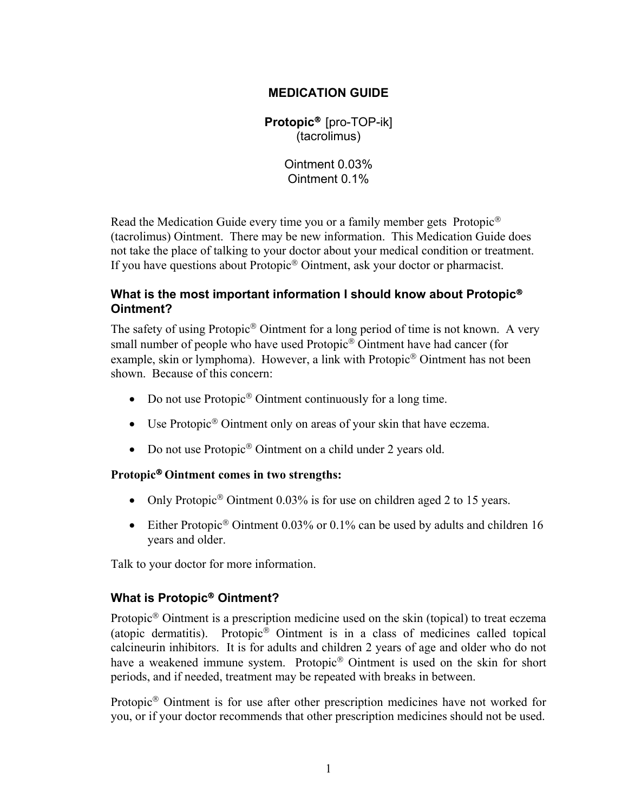#### **MEDICATION GUIDE**

**Protopic**® [pro-TOP-ik] (tacrolimus)

> Ointment 0.03% Ointment 0.1%

Read the Medication Guide every time you or a family member gets Protopic® (tacrolimus) Ointment. There may be new information. This Medication Guide does not take the place of talking to your doctor about your medical condition or treatment. If you have questions about Protopic® Ointment, ask your doctor or pharmacist.

#### **What is the most important information I should know about Protopic**® **Ointment?**

The safety of using Protopic® Ointment for a long period of time is not known. A very small number of people who have used Protopic® Ointment have had cancer (for example, skin or lymphoma). However, a link with Protopic® Ointment has not been shown. Because of this concern:

- Do not use Protopic<sup>®</sup> Ointment continuously for a long time.
- Use Protopic<sup>®</sup> Ointment only on areas of your skin that have eczema.
- Do not use Protopic<sup>®</sup> Ointment on a child under 2 years old.

#### **Protopic**® **Ointment comes in two strengths:**

- Only Protopic<sup>®</sup> Ointment 0.03% is for use on children aged 2 to 15 years.
- Either Protopic<sup>®</sup> Ointment 0.03% or 0.1% can be used by adults and children 16 years and older.

Talk to your doctor for more information.

## **What is Protopic**® **Ointment?**

Protopic® Ointment is a prescription medicine used on the skin (topical) to treat eczema (atopic dermatitis). Protopic® Ointment is in a class of medicines called topical calcineurin inhibitors. It is for adults and children 2 years of age and older who do not have a weakened immune system. Protopic® Ointment is used on the skin for short periods, and if needed, treatment may be repeated with breaks in between.

Protopic® Ointment is for use after other prescription medicines have not worked for you, or if your doctor recommends that other prescription medicines should not be used.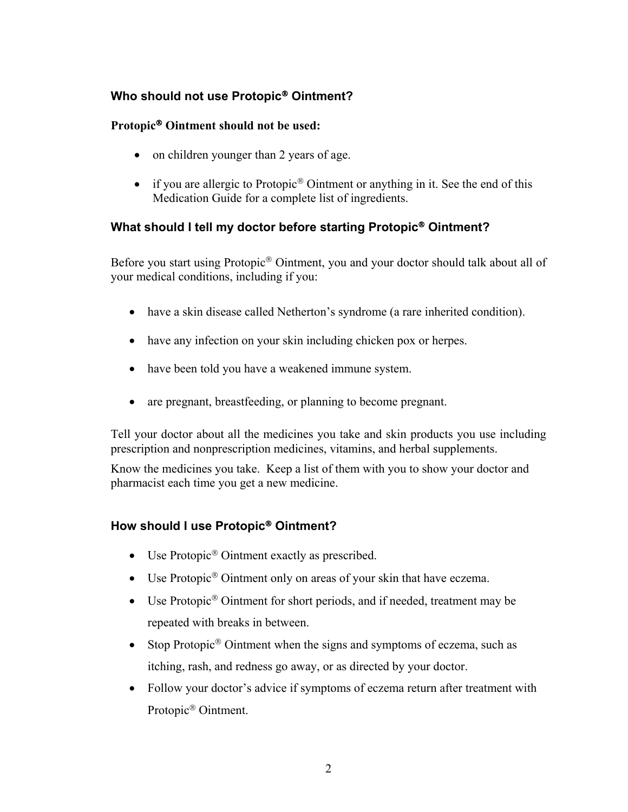# **Who should not use Protopic**® **Ointment?**

#### **Protopic**® **Ointment should not be used:**

- on children younger than 2 years of age.
- if you are allergic to Protopic<sup>®</sup> Ointment or anything in it. See the end of this Medication Guide for a complete list of ingredients.

# **What should I tell my doctor before starting Protopic**® **Ointment?**

Before you start using Protopic® Ointment, you and your doctor should talk about all of your medical conditions, including if you:

- have a skin disease called Netherton's syndrome (a rare inherited condition).
- have any infection on your skin including chicken pox or herpes.
- have been told you have a weakened immune system.
- are pregnant, breastfeeding, or planning to become pregnant.

Tell your doctor about all the medicines you take and skin products you use including prescription and nonprescription medicines, vitamins, and herbal supplements.

Know the medicines you take. Keep a list of them with you to show your doctor and pharmacist each time you get a new medicine.

## **How should I use Protopic**® **Ointment?**

- Use Protopic<sup>®</sup> Ointment exactly as prescribed.
- Use Protopic<sup>®</sup> Ointment only on areas of your skin that have eczema.
- Use Protopic<sup>®</sup> Ointment for short periods, and if needed, treatment may be repeated with breaks in between.
- Stop Protopic<sup>®</sup> Ointment when the signs and symptoms of eczema, such as itching, rash, and redness go away, or as directed by your doctor.
- Follow your doctor's advice if symptoms of eczema return after treatment with Protopic® Ointment.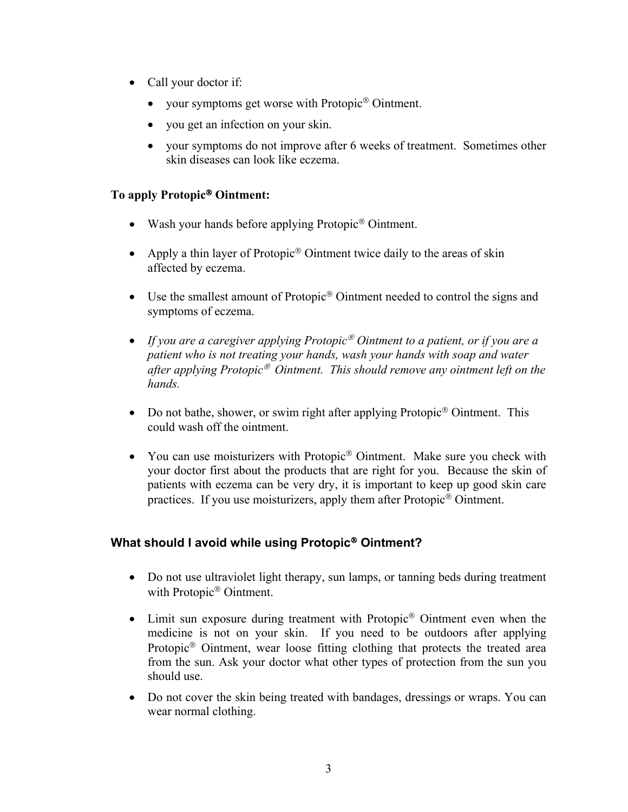- Call your doctor if:
	- your symptoms get worse with Protopic<sup>®</sup> Ointment.
	- you get an infection on your skin.
	- your symptoms do not improve after 6 weeks of treatment. Sometimes other skin diseases can look like eczema.

#### **To apply Protopic**® **Ointment:**

- Wash your hands before applying Protopic<sup>®</sup> Ointment.
- Apply a thin layer of Protopic<sup>®</sup> Ointment twice daily to the areas of skin affected by eczema.
- Use the smallest amount of Protopic<sup>®</sup> Ointment needed to control the signs and symptoms of eczema.
- *If you are a caregiver applying Protopic*® *Ointment to a patient, or if you are a patient who is not treating your hands, wash your hands with soap and water after applying Protopic*® *Ointment. This should remove any ointment left on the hands.*
- Do not bathe, shower, or swim right after applying Protopic<sup>®</sup> Ointment. This could wash off the ointment.
- You can use moisturizers with Protopic<sup>®</sup> Ointment. Make sure you check with your doctor first about the products that are right for you. Because the skin of patients with eczema can be very dry, it is important to keep up good skin care practices. If you use moisturizers, apply them after Protopic® Ointment.

## **What should I avoid while using Protopic**® **Ointment?**

- Do not use ultraviolet light therapy, sun lamps, or tanning beds during treatment with Protopic® Ointment.
- Limit sun exposure during treatment with Protopic<sup>®</sup> Ointment even when the medicine is not on your skin. If you need to be outdoors after applying Protopic® Ointment, wear loose fitting clothing that protects the treated area from the sun. Ask your doctor what other types of protection from the sun you should use.
- Do not cover the skin being treated with bandages, dressings or wraps. You can wear normal clothing.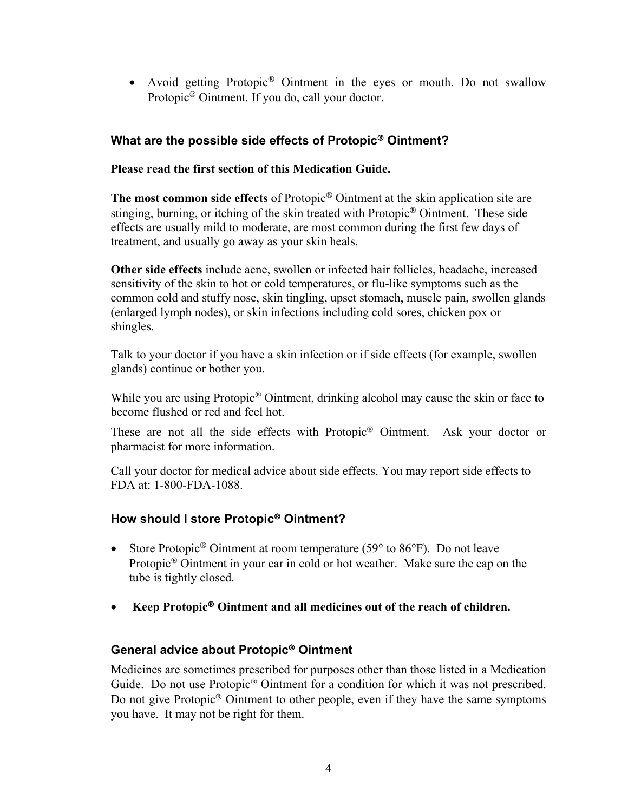• Avoid getting Protopic<sup>®</sup> Ointment in the eyes or mouth. Do not swallow Protopic® Ointment. If you do, call your doctor.

# **What are the possible side effects of Protopic**® **Ointment?**

#### **Please read the first section of this Medication Guide.**

**The most common side effects** of Protopic® Ointment at the skin application site are stinging, burning, or itching of the skin treated with Protopic® Ointment. These side effects are usually mild to moderate, are most common during the first few days of treatment, and usually go away as your skin heals.

**Other side effects** include acne, swollen or infected hair follicles, headache, increased sensitivity of the skin to hot or cold temperatures, or flu-like symptoms such as the common cold and stuffy nose, skin tingling, upset stomach, muscle pain, swollen glands (enlarged lymph nodes), or skin infections including cold sores, chicken pox or shingles.

Talk to your doctor if you have a skin infection or if side effects (for example, swollen glands) continue or bother you.

While you are using Protopic<sup>®</sup> Ointment, drinking alcohol may cause the skin or face to become flushed or red and feel hot.

These are not all the side effects with Protopic® Ointment. Ask your doctor or pharmacist for more information.

Call your doctor for medical advice about side effects. You may report side effects to FDA at: 1-800-FDA-1088.

## **How should I store Protopic**® **Ointment?**

- Store Protopic<sup>®</sup> Ointment at room temperature (59 $\degree$  to 86 $\degree$ F). Do not leave Protopic® Ointment in your car in cold or hot weather. Make sure the cap on the tube is tightly closed.
- **Keep Protopic**® **Ointment and all medicines out of the reach of children.**

#### **General advice about Protopic**® **Ointment**

Medicines are sometimes prescribed for purposes other than those listed in a Medication Guide. Do not use Protopic<sup>®</sup> Ointment for a condition for which it was not prescribed. Do not give Protopic<sup>®</sup> Ointment to other people, even if they have the same symptoms you have. It may not be right for them.